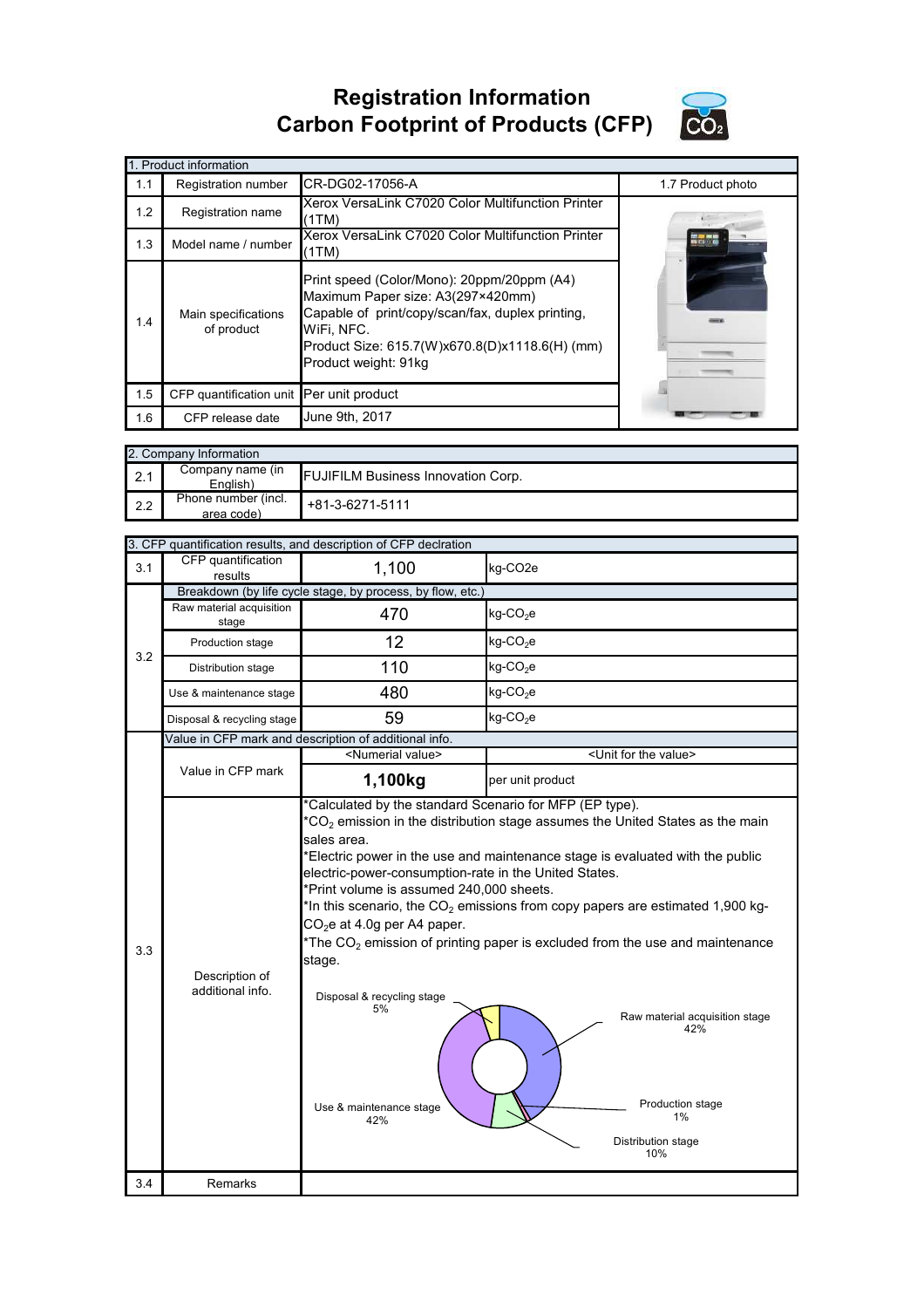## **Registration Information Carbon Footprint of Products (CFP)**



|     | 1. Product information                   |                                                                                                                                                                                                                             |                   |
|-----|------------------------------------------|-----------------------------------------------------------------------------------------------------------------------------------------------------------------------------------------------------------------------------|-------------------|
| 1.1 | Registration number                      | CR-DG02-17056-A                                                                                                                                                                                                             | 1.7 Product photo |
| 1.2 | Registration name                        | Xerox VersaLink C7020 Color Multifunction Printer<br>(1TM)                                                                                                                                                                  |                   |
| 1.3 | Model name / number                      | Xerox VersaLink C7020 Color Multifunction Printer<br>(1TM)                                                                                                                                                                  |                   |
| 1.4 | Main specifications<br>of product        | Print speed (Color/Mono): 20ppm/20ppm (A4)<br>Maximum Paper size: A3(297×420mm)<br>Capable of print/copy/scan/fax, duplex printing,<br>WiFi, NFC.<br>Product Size: 615.7(W)x670.8(D)x1118.6(H) (mm)<br>Product weight: 91kg |                   |
| 1.5 | CFP quantification unit Per unit product |                                                                                                                                                                                                                             |                   |
| 1.6 | CFP release date                         | June 9th, 2017                                                                                                                                                                                                              |                   |

|     | 2. Company Information            |                                           |
|-----|-----------------------------------|-------------------------------------------|
| 2.1 | Company name (in<br>English)      | <b>FUJIFILM Business Innovation Corp.</b> |
| 2.2 | Phone number (incl.<br>area code) | +81-3-6271-5111                           |

|     |                                    | 3. CFP quantification results, and description of CFP declration                                                                                                                                                                                                                            |                                                                                                                                                                                                                                                                                                                                                                                                                                       |
|-----|------------------------------------|---------------------------------------------------------------------------------------------------------------------------------------------------------------------------------------------------------------------------------------------------------------------------------------------|---------------------------------------------------------------------------------------------------------------------------------------------------------------------------------------------------------------------------------------------------------------------------------------------------------------------------------------------------------------------------------------------------------------------------------------|
| 3.1 | CFP quantification<br>results      | 1,100                                                                                                                                                                                                                                                                                       | kg-CO <sub>2</sub> e                                                                                                                                                                                                                                                                                                                                                                                                                  |
|     |                                    | Breakdown (by life cycle stage, by process, by flow, etc.)                                                                                                                                                                                                                                  |                                                                                                                                                                                                                                                                                                                                                                                                                                       |
|     | Raw material acquisition<br>stage  | 470                                                                                                                                                                                                                                                                                         | $kg$ -CO <sub>2</sub> e                                                                                                                                                                                                                                                                                                                                                                                                               |
| 3.2 | Production stage                   | 12                                                                                                                                                                                                                                                                                          | $kg$ -CO <sub>2</sub> e                                                                                                                                                                                                                                                                                                                                                                                                               |
|     | Distribution stage                 | 110                                                                                                                                                                                                                                                                                         | $kg$ -CO <sub>2</sub> e                                                                                                                                                                                                                                                                                                                                                                                                               |
|     | Use & maintenance stage            | 480                                                                                                                                                                                                                                                                                         | $kg$ -CO <sub>2</sub> e                                                                                                                                                                                                                                                                                                                                                                                                               |
|     | Disposal & recycling stage         | 59                                                                                                                                                                                                                                                                                          | $kg$ -CO <sub>2</sub> e                                                                                                                                                                                                                                                                                                                                                                                                               |
|     |                                    | Value in CFP mark and description of additional info.                                                                                                                                                                                                                                       |                                                                                                                                                                                                                                                                                                                                                                                                                                       |
|     |                                    | <numerial value=""></numerial>                                                                                                                                                                                                                                                              | <unit for="" the="" value=""></unit>                                                                                                                                                                                                                                                                                                                                                                                                  |
|     | Value in CFP mark                  | 1,100kg                                                                                                                                                                                                                                                                                     | per unit product                                                                                                                                                                                                                                                                                                                                                                                                                      |
| 3.3 | Description of<br>additional info. | *Calculated by the standard Scenario for MFP (EP type).<br>sales area.<br>electric-power-consumption-rate in the United States.<br>*Print volume is assumed 240,000 sheets.<br>$CO2e$ at 4.0g per A4 paper.<br>stage.<br>Disposal & recycling stage<br>5%<br>Use & maintenance stage<br>42% | $*CO2$ emission in the distribution stage assumes the United States as the main<br>*Electric power in the use and maintenance stage is evaluated with the public<br>*In this scenario, the $CO2$ emissions from copy papers are estimated 1,900 kg-<br>*The $CO2$ emission of printing paper is excluded from the use and maintenance<br>Raw material acquisition stage<br>42%<br>Production stage<br>1%<br>Distribution stage<br>10% |
| 3.4 | Remarks                            |                                                                                                                                                                                                                                                                                             |                                                                                                                                                                                                                                                                                                                                                                                                                                       |